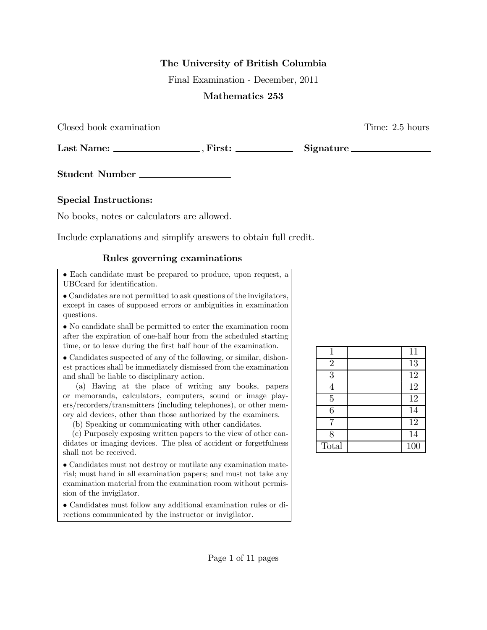## The University of British Columbia

Final Examination - December, 2011

## Mathematics 253

Closed book examination Time: 2.5 hours

Last Name: , First: Signature

Student Number

## Special Instructions:

No books, notes or calculators are allowed.

Include explanations and simplify answers to obtain full credit.

## Rules governing examinations

• Each candidate must be prepared to produce, upon request, a UBCcard for identification.

• Candidates are not permitted to ask questions of the invigilators, except in cases of supposed errors or ambiguities in examination questions.

• No candidate shall be permitted to enter the examination room after the expiration of one-half hour from the scheduled starting time, or to leave during the first half hour of the examination.

• Candidates suspected of any of the following, or similar, dishonest practices shall be immediately dismissed from the examination and shall be liable to disciplinary action.

(a) Having at the place of writing any books, papers or memoranda, calculators, computers, sound or image players/recorders/transmitters (including telephones), or other memory aid devices, other than those authorized by the examiners.

(b) Speaking or communicating with other candidates.

(c) Purposely exposing written papers to the view of other candidates or imaging devices. The plea of accident or forgetfulness shall not be received.

• Candidates must not destroy or mutilate any examination material; must hand in all examination papers; and must not take any examination material from the examination room without permission of the invigilator.

• Candidates must follow any additional examination rules or directions communicated by the instructor or invigilator.

|                | 11               |
|----------------|------------------|
| $\overline{2}$ | $\overline{13}$  |
| $\overline{3}$ | $\overline{12}$  |
| 4              | $\overline{12}$  |
| $\overline{5}$ | 12               |
| 6              | 14               |
|                | $\overline{12}$  |
| 8              | 14               |
| Total          | $\overline{100}$ |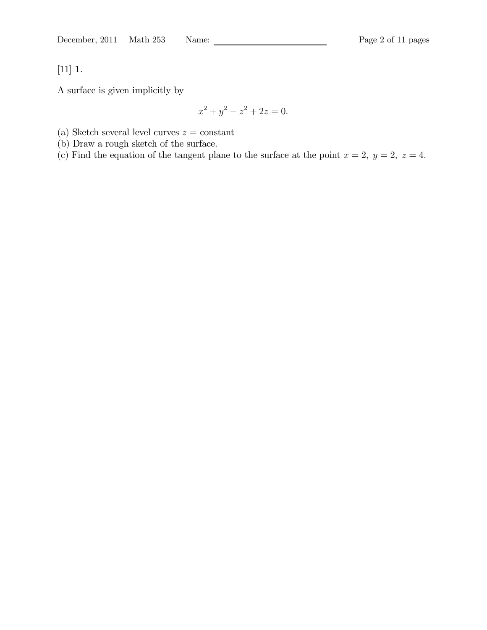[11] 1.

A surface is given implicitly by

$$
x^2 + y^2 - z^2 + 2z = 0.
$$

(a) Sketch several level curves  $z = constant$ 

(b) Draw a rough sketch of the surface.

(c) Find the equation of the tangent plane to the surface at the point  $x = 2$ ,  $y = 2$ ,  $z = 4$ .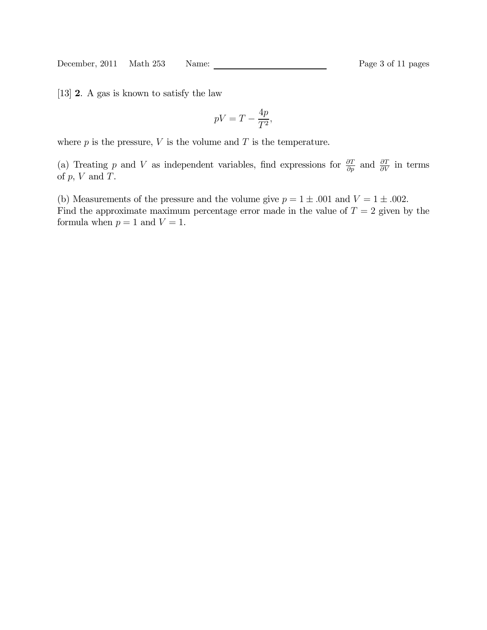December, 2011 Math 253 Name: Page 3 of 11 pages

[13] 2. A gas is known to satisfy the law

$$
pV = T - \frac{4p}{T^2},
$$

where  $p$  is the pressure,  $V$  is the volume and  $T$  is the temperature.

(a) Treating p and V as independent variables, find expressions for  $\frac{\partial T}{\partial p}$  and  $\frac{\partial T}{\partial V}$  in terms of  $p, V$  and  $T$ .

(b) Measurements of the pressure and the volume give  $p = 1 \pm .001$  and  $V = 1 \pm .002$ . Find the approximate maximum percentage error made in the value of  $T = 2$  given by the formula when  $p = 1$  and  $V = 1$ .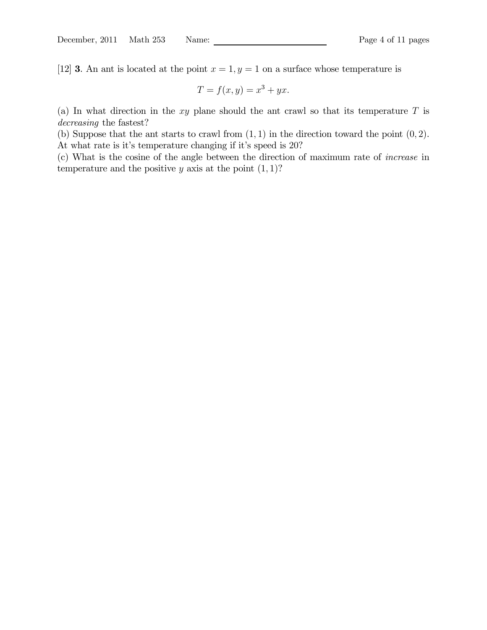[12] **3**. An ant is located at the point  $x = 1, y = 1$  on a surface whose temperature is

$$
T = f(x, y) = x^3 + yx.
$$

(a) In what direction in the  $xy$  plane should the ant crawl so that its temperature  $T$  is decreasing the fastest?

(b) Suppose that the ant starts to crawl from  $(1, 1)$  in the direction toward the point  $(0, 2)$ . At what rate is it's temperature changing if it's speed is 20?

(c) What is the cosine of the angle between the direction of maximum rate of increase in temperature and the positive y axis at the point  $(1, 1)$ ?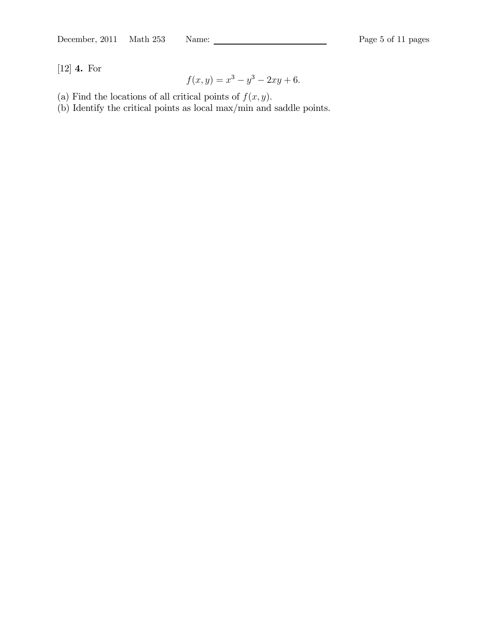[12] 4. For

$$
f(x, y) = x^3 - y^3 - 2xy + 6.
$$

- (a) Find the locations of all critical points of  $f(x, y)$ .
- (b) Identify the critical points as local max/min and saddle points.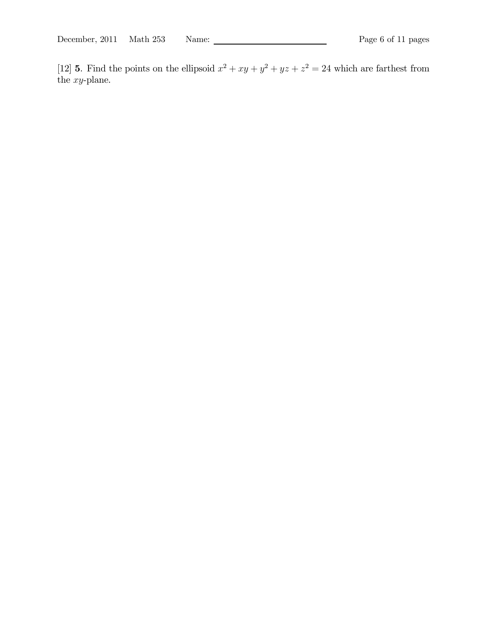December, 2011 Math 253 Name: Page 6 of 11 pages

[12] **5**. Find the points on the ellipsoid  $x^2 + xy + y^2 + yz + z^2 = 24$  which are farthest from the xy-plane.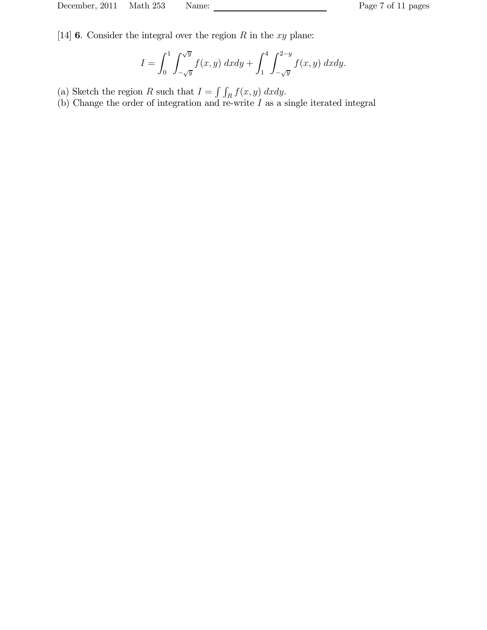[14] **6**. Consider the integral over the region  $R$  in the  $xy$  plane:

$$
I = \int_0^1 \int_{-\sqrt{y}}^{\sqrt{y}} f(x, y) \, dx dy + \int_1^4 \int_{-\sqrt{y}}^{2-y} f(x, y) \, dx dy.
$$

- (a) Sketch the region R such that  $I = \int \int_R f(x, y) dx dy$ .
- (b) Change the order of integration and re-write I as a single iterated integral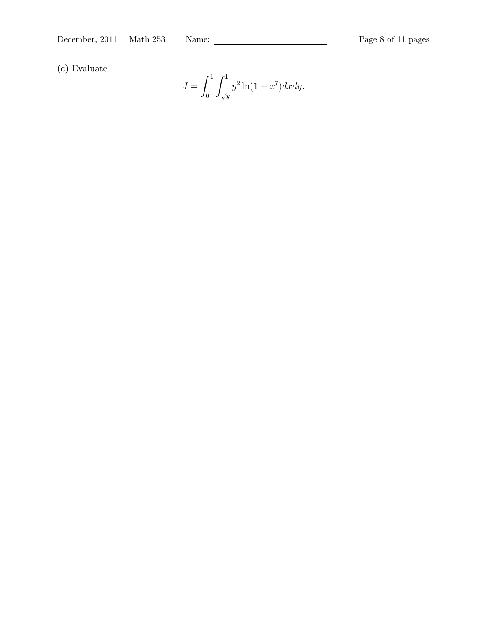(c) Evaluate

$$
J = \int_0^1 \int_{\sqrt{y}}^1 y^2 \ln(1 + x^7) dx dy.
$$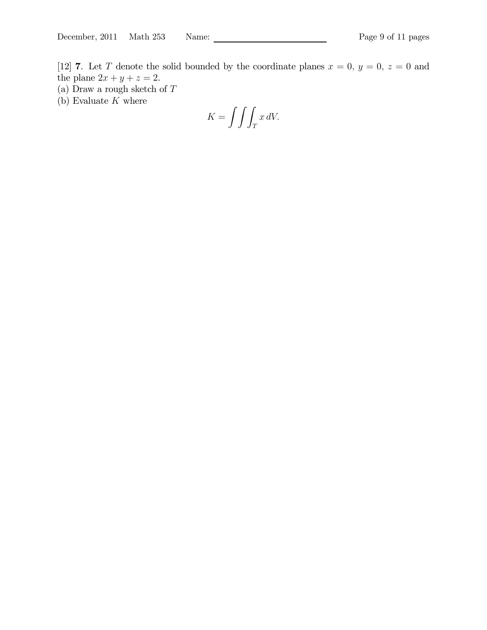[12] 7. Let T denote the solid bounded by the coordinate planes  $x = 0, y = 0, z = 0$  and the plane  $2x + y + z = 2$ .

- (a) Draw a rough sketch of  ${\cal T}$
- (b) Evaluate  $K$  where

$$
K = \int \int \int_T x \, dV.
$$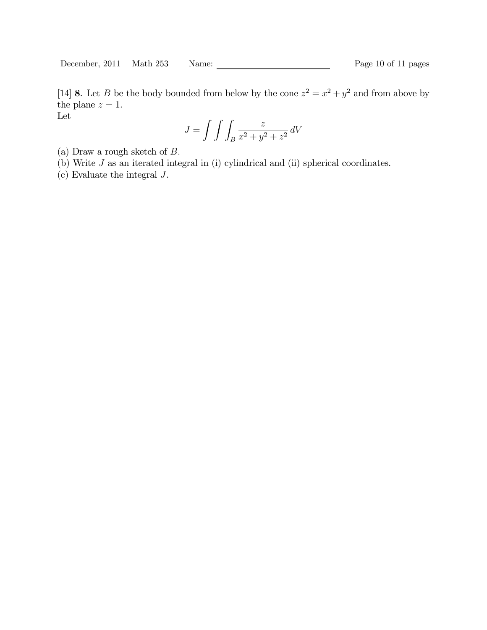December, 2011 Math 253 Name: Page 10 of 11 pages

[14] 8. Let B be the body bounded from below by the cone  $z^2 = x^2 + y^2$  and from above by the plane  $z = 1$ . Let

$$
J = \int \int \int_B \frac{z}{x^2 + y^2 + z^2} \, dV
$$

(a) Draw a rough sketch of B.

(b) Write J as an iterated integral in (i) cylindrical and (ii) spherical coordinates.

(c) Evaluate the integral J.